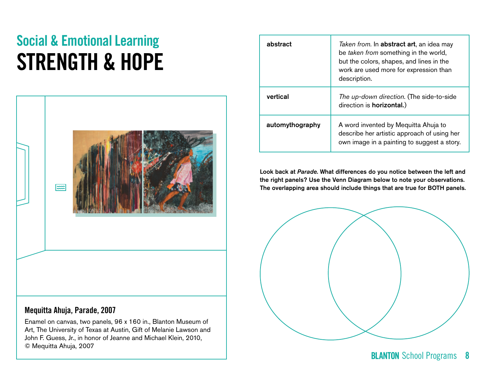# Social & Emotional Learning STRENGTH & HOPE



### Mequitta Ahuja, **Parade,** 2007

Enamel on canvas, two panels, 96 x 160 in., Blanton Museum of Art, The University of Texas at Austin, Gift of Melanie Lawson and John F. Guess, Jr., in honor of Jeanne and Michael Klein, 2010, © Mequitta Ahuja, 2007

| abstract        | Taken from. In <b>abstract art</b> , an idea may<br>be taken from something in the world,<br>but the colors, shapes, and lines in the<br>work are used more for expression than<br>description. |
|-----------------|-------------------------------------------------------------------------------------------------------------------------------------------------------------------------------------------------|
| vertical        | The up-down direction. (The side-to-side<br>direction is <b>horizontal.</b> )                                                                                                                   |
| automythography | A word invented by Mequitta Ahuja to<br>describe her artistic approach of using her<br>own image in a painting to suggest a story.                                                              |

Look back at *Parade*. What differences do you notice between the left and the right panels? Use the Venn Diagram below to note your observations. The overlapping area should include things that are true for BOTH panels.

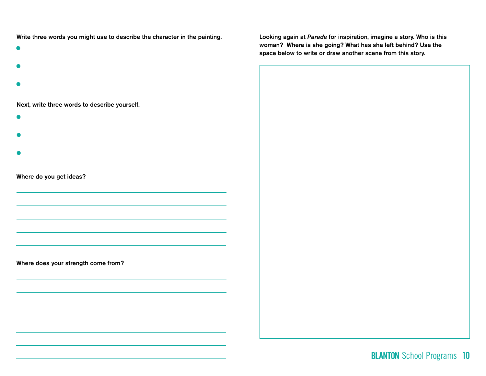Write three words you might use to describe the character in the painting.

- 
- 
- 

Next, write three words to describe yourself.

- 
- 
- 

Where do you get ideas?

Where does your strength come from?

Looking again at *Parade* for inspiration, imagine a story. Who is this woman? Where is she going? What has she left behind? Use the space below to write or draw another scene from this story.